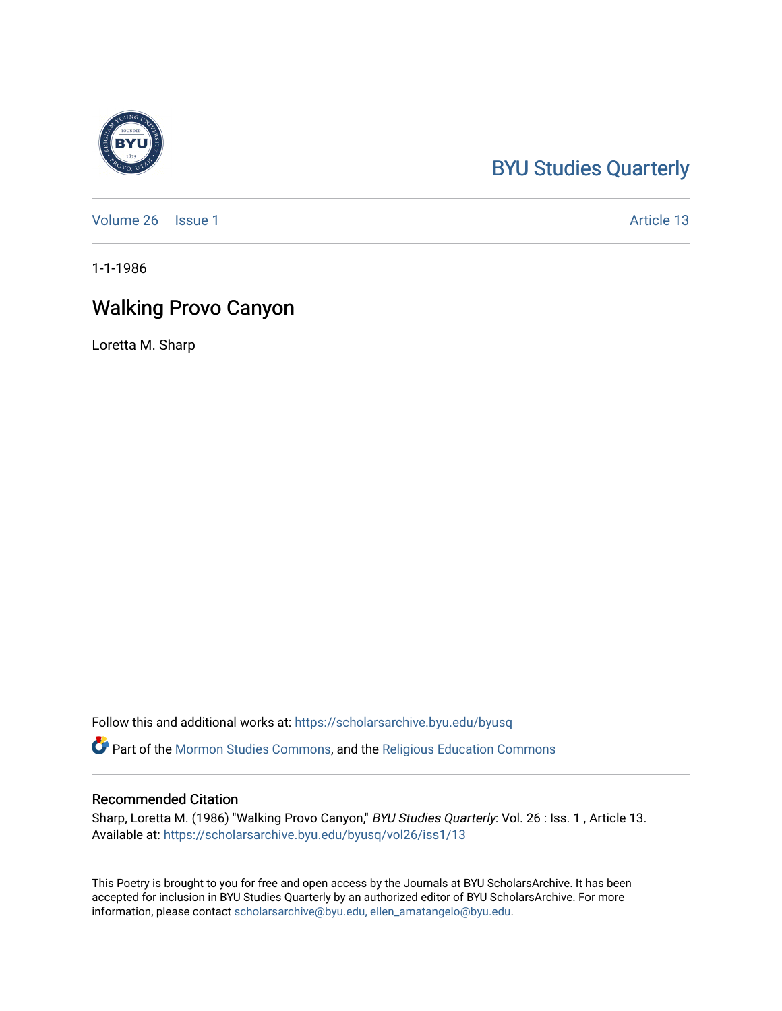## [BYU Studies Quarterly](https://scholarsarchive.byu.edu/byusq)

[Volume 26](https://scholarsarchive.byu.edu/byusq/vol26) | [Issue 1](https://scholarsarchive.byu.edu/byusq/vol26/iss1) Article 13

1-1-1986

## Walking Provo Canyon

Loretta M. Sharp

Follow this and additional works at: [https://scholarsarchive.byu.edu/byusq](https://scholarsarchive.byu.edu/byusq?utm_source=scholarsarchive.byu.edu%2Fbyusq%2Fvol26%2Fiss1%2F13&utm_medium=PDF&utm_campaign=PDFCoverPages) 

Part of the [Mormon Studies Commons](http://network.bepress.com/hgg/discipline/1360?utm_source=scholarsarchive.byu.edu%2Fbyusq%2Fvol26%2Fiss1%2F13&utm_medium=PDF&utm_campaign=PDFCoverPages), and the [Religious Education Commons](http://network.bepress.com/hgg/discipline/1414?utm_source=scholarsarchive.byu.edu%2Fbyusq%2Fvol26%2Fiss1%2F13&utm_medium=PDF&utm_campaign=PDFCoverPages) 

## Recommended Citation

Sharp, Loretta M. (1986) "Walking Provo Canyon," BYU Studies Quarterly: Vol. 26 : Iss. 1, Article 13. Available at: [https://scholarsarchive.byu.edu/byusq/vol26/iss1/13](https://scholarsarchive.byu.edu/byusq/vol26/iss1/13?utm_source=scholarsarchive.byu.edu%2Fbyusq%2Fvol26%2Fiss1%2F13&utm_medium=PDF&utm_campaign=PDFCoverPages) 

This Poetry is brought to you for free and open access by the Journals at BYU ScholarsArchive. It has been accepted for inclusion in BYU Studies Quarterly by an authorized editor of BYU ScholarsArchive. For more information, please contact [scholarsarchive@byu.edu, ellen\\_amatangelo@byu.edu.](mailto:scholarsarchive@byu.edu,%20ellen_amatangelo@byu.edu)